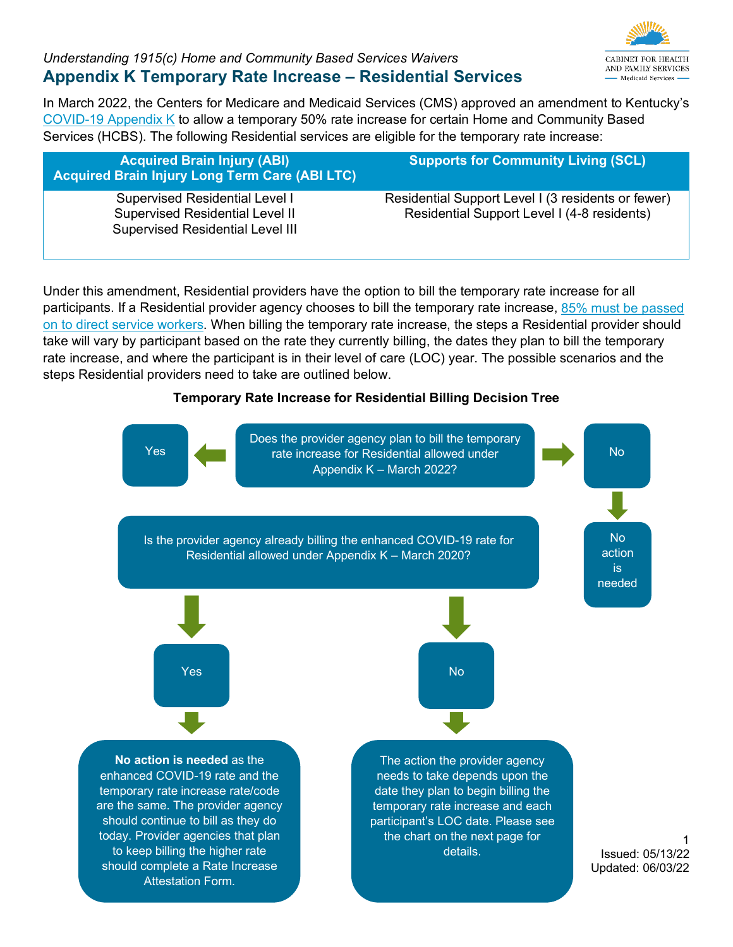**CABINET FOR HEALTH** AND FAMILY SERVICES - Medicaid Services -

1

In March 2022, the Centers for Medicare and Medicaid Services (CMS) approved an amendment to Kentucky's [COVID-19 Appendix K](https://chfs.ky.gov/agencies/dms/dca/Documents/appendixk.pdf) to allow a temporary 50% rate increase for certain Home and Community Based Services (HCBS). The following Residential services are eligible for the temporary rate increase:

| <b>Acquired Brain Injury (ABI)</b><br><b>Acquired Brain Injury Long Term Care (ABI LTC)</b>                                | <b>Supports for Community Living (SCL)</b>                                                        |
|----------------------------------------------------------------------------------------------------------------------------|---------------------------------------------------------------------------------------------------|
| <b>Supervised Residential Level I</b><br><b>Supervised Residential Level II</b><br><b>Supervised Residential Level III</b> | Residential Support Level I (3 residents or fewer)<br>Residential Support Level I (4-8 residents) |

Under this amendment, Residential providers have the option to bill the temporary rate increase for all participants. If a Residential provider agency chooses to bill the temporary rate increase, 85% must be passed [on to direct service workers.](https://chfs.ky.gov/agencies/dms/dca/Documents/AppendixKAttestation.pdf) When billing the temporary rate increase, the steps a Residential provider should take will vary by participant based on the rate they currently billing, the dates they plan to bill the temporary rate increase, and where the participant is in their level of care (LOC) year. The possible scenarios and the steps Residential providers need to take are outlined below.

#### **Temporary Rate Increase for Residential Billing Decision Tree**

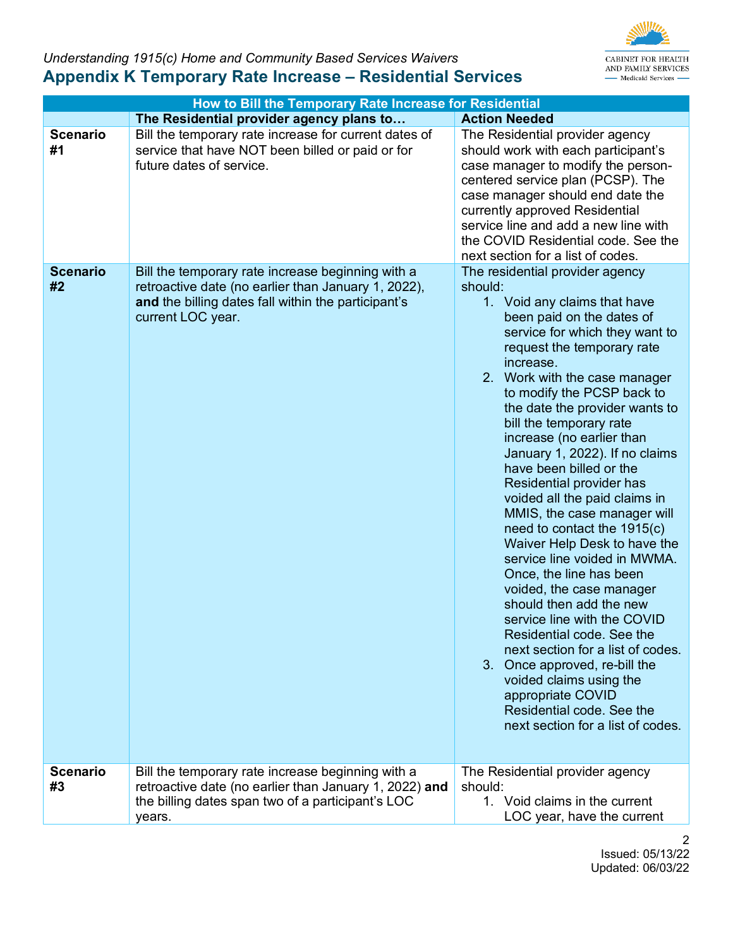

| How to Bill the Temporary Rate Increase for Residential |                                                                                                                                                                                      |                                                                                                                                                                                                                                                                                                                                                                                                                                                                                                                                                                                                                                                                                                                                                                                                                                                                                                                                                |  |
|---------------------------------------------------------|--------------------------------------------------------------------------------------------------------------------------------------------------------------------------------------|------------------------------------------------------------------------------------------------------------------------------------------------------------------------------------------------------------------------------------------------------------------------------------------------------------------------------------------------------------------------------------------------------------------------------------------------------------------------------------------------------------------------------------------------------------------------------------------------------------------------------------------------------------------------------------------------------------------------------------------------------------------------------------------------------------------------------------------------------------------------------------------------------------------------------------------------|--|
|                                                         | The Residential provider agency plans to                                                                                                                                             | <b>Action Needed</b>                                                                                                                                                                                                                                                                                                                                                                                                                                                                                                                                                                                                                                                                                                                                                                                                                                                                                                                           |  |
| <b>Scenario</b><br>#1                                   | Bill the temporary rate increase for current dates of<br>service that have NOT been billed or paid or for<br>future dates of service.                                                | The Residential provider agency<br>should work with each participant's<br>case manager to modify the person-<br>centered service plan (PCSP). The<br>case manager should end date the<br>currently approved Residential<br>service line and add a new line with<br>the COVID Residential code. See the<br>next section for a list of codes.                                                                                                                                                                                                                                                                                                                                                                                                                                                                                                                                                                                                    |  |
| <b>Scenario</b><br>#2                                   | Bill the temporary rate increase beginning with a<br>retroactive date (no earlier than January 1, 2022),<br>and the billing dates fall within the participant's<br>current LOC year. | The residential provider agency<br>should:<br>1. Void any claims that have<br>been paid on the dates of<br>service for which they want to<br>request the temporary rate<br>increase.<br>2. Work with the case manager<br>to modify the PCSP back to<br>the date the provider wants to<br>bill the temporary rate<br>increase (no earlier than<br>January 1, 2022). If no claims<br>have been billed or the<br>Residential provider has<br>voided all the paid claims in<br>MMIS, the case manager will<br>need to contact the 1915(c)<br>Waiver Help Desk to have the<br>service line voided in MWMA.<br>Once, the line has been<br>voided, the case manager<br>should then add the new<br>service line with the COVID<br>Residential code. See the<br>next section for a list of codes.<br>Once approved, re-bill the<br>3.<br>voided claims using the<br>appropriate COVID<br>Residential code, See the<br>next section for a list of codes. |  |
| <b>Scenario</b><br>#3                                   | Bill the temporary rate increase beginning with a<br>retroactive date (no earlier than January 1, 2022) and                                                                          | The Residential provider agency<br>should:                                                                                                                                                                                                                                                                                                                                                                                                                                                                                                                                                                                                                                                                                                                                                                                                                                                                                                     |  |
|                                                         | the billing dates span two of a participant's LOC<br>years.                                                                                                                          | 1. Void claims in the current<br>LOC year, have the current                                                                                                                                                                                                                                                                                                                                                                                                                                                                                                                                                                                                                                                                                                                                                                                                                                                                                    |  |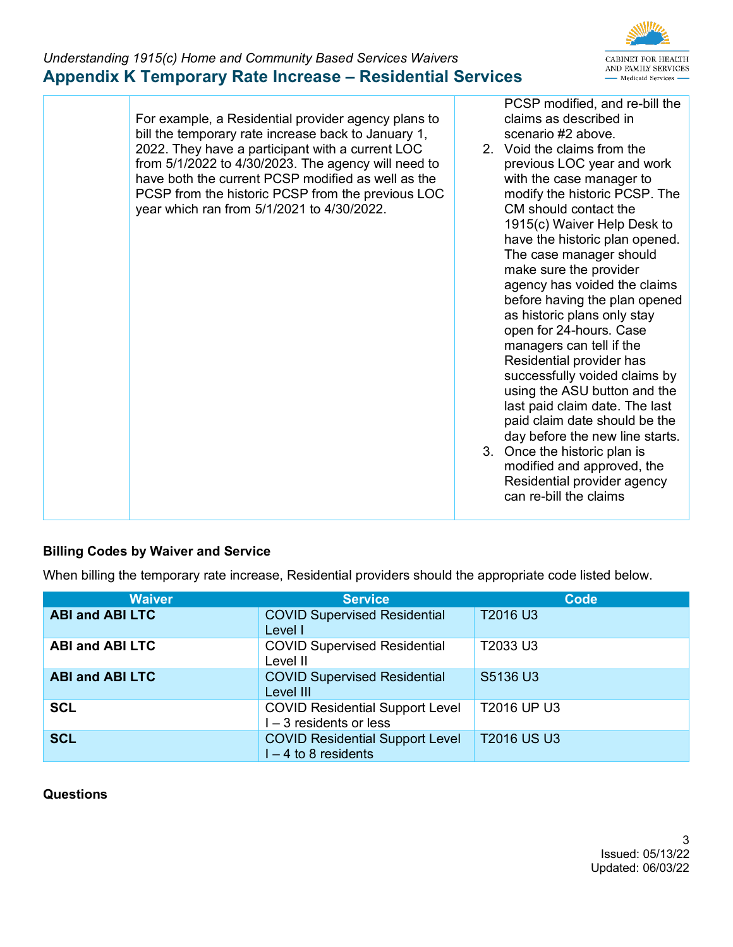

For example, a Residential provider agency plans to bill the temporary rate increase back to January 1, 2022. They have a participant with a current LOC from 5/1/2022 to 4/30/2023. The agency will need to have both the current PCSP modified as well as the PCSP from the historic PCSP from the previous LOC year which ran from 5/1/2021 to 4/30/2022. PCSP modified, and re-bill the claims as described in scenario #2 above. 2. Void the claims from the previous LOC year and work with the case manager to modify the historic PCSP. The CM should contact the 1915(c) Waiver Help Desk to have the historic plan opened. The case manager should make sure the provider agency has voided the claims before having the plan opened as historic plans only stay open for 24-hours. Case managers can tell if the Residential provider has successfully voided claims by using the ASU button and the last paid claim date. The last paid claim date should be the day before the new line starts. 3. Once the historic plan is modified and approved, the Residential provider agency can re-bill the claims

#### **Billing Codes by Waiver and Service**

When billing the temporary rate increase, Residential providers should the appropriate code listed below.

| <b>Waiver</b>          | <b>Service</b>                                                      | Code               |
|------------------------|---------------------------------------------------------------------|--------------------|
| <b>ABI and ABI LTC</b> | <b>COVID Supervised Residential</b><br>Level I                      | T2016 U3           |
| <b>ABI and ABI LTC</b> | <b>COVID Supervised Residential</b><br>Level II                     | T2033 U3           |
| <b>ABI and ABI LTC</b> | <b>COVID Supervised Residential</b><br>Level III                    | S5136 U3           |
| <b>SCL</b>             | <b>COVID Residential Support Level</b><br>$I - 3$ residents or less | T2016 UP U3        |
| <b>SCL</b>             | <b>COVID Residential Support Level</b><br>$I - 4$ to 8 residents    | <b>T2016 US U3</b> |

#### **Questions**